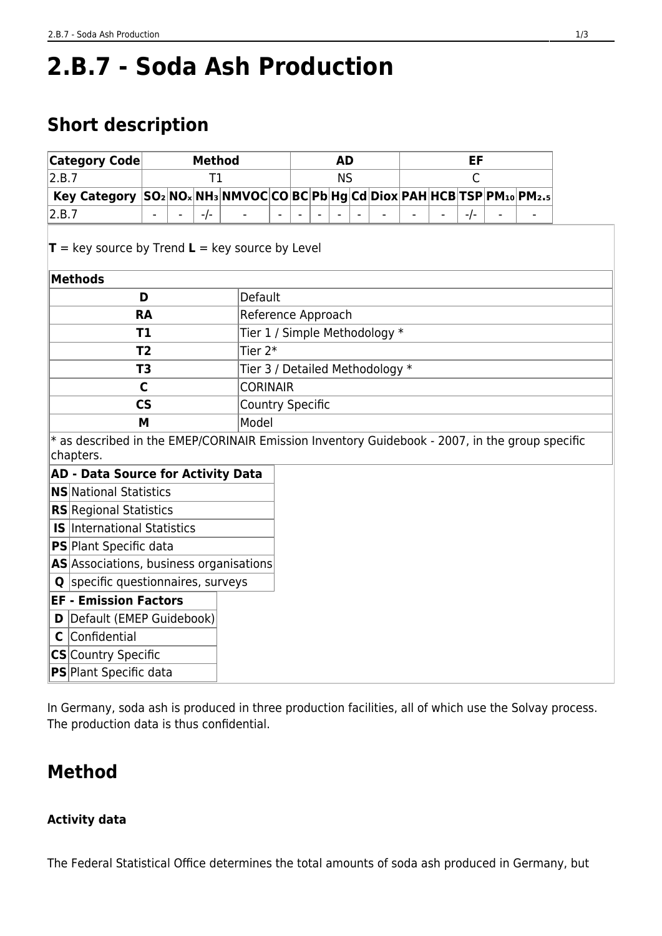# **2.B.7 - Soda Ash Production**

# **Short description**

| Category Code                                                                                                  | <b>Method</b> |       |  |                                 |  | <b>AD</b> |  |  |  |              |  |     |  |  |  |  |  |
|----------------------------------------------------------------------------------------------------------------|---------------|-------|--|---------------------------------|--|-----------|--|--|--|--------------|--|-----|--|--|--|--|--|
| 2.B.7                                                                                                          | T1            |       |  |                                 |  | <b>NS</b> |  |  |  | $\mathsf{C}$ |  |     |  |  |  |  |  |
| Key Category SO <sub>2</sub> NO <sub>x</sub> NH <sub>3</sub> NMVOCCOBCPbHgCdDioxPAHHCBTSPPM10PM <sub>2.5</sub> |               |       |  |                                 |  |           |  |  |  |              |  |     |  |  |  |  |  |
| 2.B.7                                                                                                          |               | $-/-$ |  |                                 |  |           |  |  |  |              |  | -/- |  |  |  |  |  |
| $T = \text{key source by Trend } L = \text{key source by Level}$                                               |               |       |  |                                 |  |           |  |  |  |              |  |     |  |  |  |  |  |
| <b>Methods</b>                                                                                                 |               |       |  |                                 |  |           |  |  |  |              |  |     |  |  |  |  |  |
| D                                                                                                              |               |       |  | Default                         |  |           |  |  |  |              |  |     |  |  |  |  |  |
| <b>RA</b>                                                                                                      |               |       |  | Reference Approach              |  |           |  |  |  |              |  |     |  |  |  |  |  |
| T1                                                                                                             |               |       |  | Tier 1 / Simple Methodology *   |  |           |  |  |  |              |  |     |  |  |  |  |  |
| T <sub>2</sub>                                                                                                 |               |       |  | Tier 2*                         |  |           |  |  |  |              |  |     |  |  |  |  |  |
| T <sub>3</sub>                                                                                                 |               |       |  | Tier 3 / Detailed Methodology * |  |           |  |  |  |              |  |     |  |  |  |  |  |
| $\mathsf{C}$                                                                                                   |               |       |  | <b>CORINAIR</b>                 |  |           |  |  |  |              |  |     |  |  |  |  |  |
| $\mathsf{CS}\phantom{0}$                                                                                       |               |       |  | <b>Country Specific</b>         |  |           |  |  |  |              |  |     |  |  |  |  |  |
| M                                                                                                              |               |       |  | Model                           |  |           |  |  |  |              |  |     |  |  |  |  |  |
| * as described in the EMEP/CORINAIR Emission Inventory Guidebook - 2007, in the group specific<br>chapters.    |               |       |  |                                 |  |           |  |  |  |              |  |     |  |  |  |  |  |
| <b>AD - Data Source for Activity Data</b>                                                                      |               |       |  |                                 |  |           |  |  |  |              |  |     |  |  |  |  |  |
| <b>NS</b> National Statistics                                                                                  |               |       |  |                                 |  |           |  |  |  |              |  |     |  |  |  |  |  |
| <b>RS</b> Regional Statistics                                                                                  |               |       |  |                                 |  |           |  |  |  |              |  |     |  |  |  |  |  |
| <b>IS</b> International Statistics                                                                             |               |       |  |                                 |  |           |  |  |  |              |  |     |  |  |  |  |  |
| <b>PS</b> Plant Specific data                                                                                  |               |       |  |                                 |  |           |  |  |  |              |  |     |  |  |  |  |  |
| AS Associations, business organisations                                                                        |               |       |  |                                 |  |           |  |  |  |              |  |     |  |  |  |  |  |
| <b>Q</b> specific questionnaires, surveys                                                                      |               |       |  |                                 |  |           |  |  |  |              |  |     |  |  |  |  |  |
| <b>EF - Emission Factors</b>                                                                                   |               |       |  |                                 |  |           |  |  |  |              |  |     |  |  |  |  |  |
| D Default (EMEP Guidebook)                                                                                     |               |       |  |                                 |  |           |  |  |  |              |  |     |  |  |  |  |  |
| C Confidential                                                                                                 |               |       |  |                                 |  |           |  |  |  |              |  |     |  |  |  |  |  |
| CS Country Specific                                                                                            |               |       |  |                                 |  |           |  |  |  |              |  |     |  |  |  |  |  |
| PS Plant Specific data                                                                                         |               |       |  |                                 |  |           |  |  |  |              |  |     |  |  |  |  |  |

In Germany, soda ash is produced in three production facilities, all of which use the Solvay process. The production data is thus confidential.

## **Method**

### **Activity data**

The Federal Statistical Office determines the total amounts of soda ash produced in Germany, but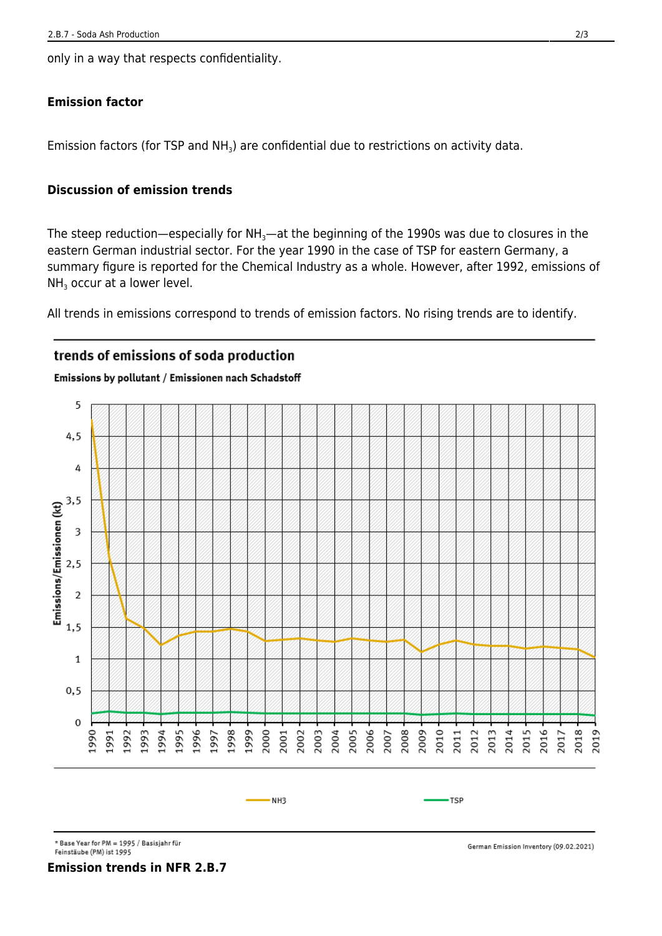only in a way that respects confidentiality.

#### **Emission factor**

Emission factors (for TSP and NH<sub>3</sub>) are confidential due to restrictions on activity data.

#### **Discussion of emission trends**

The steep reduction—especially for  $NH<sub>3</sub>$ —at the beginning of the 1990s was due to closures in the eastern German industrial sector. For the year 1990 in the case of TSP for eastern Germany, a summary figure is reported for the Chemical Industry as a whole. However, after 1992, emissions of  $NH<sub>3</sub>$  occur at a lower level.

All trends in emissions correspond to trends of emission factors. No rising trends are to identify.

### trends of emissions of soda production

#### Emissions by pollutant / Emissionen nach Schadstoff



<sup>\*</sup> Base Year for PM = 1995 / Basisjahr für

Feinstäube (PM) ist 1995